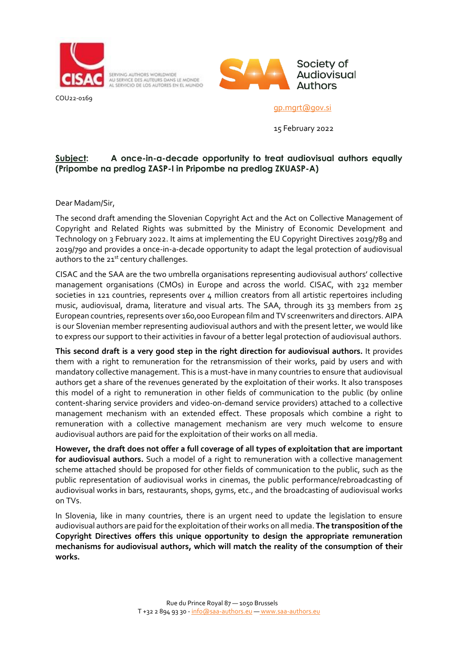

COU22-0169

SERVING AUTHORS WORLDWIDE AU SERVICE DES AUTEURS DANS LE MONDE



[gp.mgrt@gov.si](mailto:gp.mgrt@gov.si)

15 February 2022

## **Subject: A once-in-a-decade opportunity to treat audiovisual authors equally (Pripombe na predlog ZASP-I in Pripombe na predlog ZKUASP-A)**

Dear Madam/Sir,

The second draft amending the Slovenian Copyright Act and the Act on Collective Management of Copyright and Related Rights was submitted by the Ministry of Economic Development and Technology on 3 February 2022. It aims at implementing the EU Copyright Directives 2019/789 and 2019/790 and provides a once-in-a-decade opportunity to adapt the legal protection of audiovisual authors to the  $21<sup>st</sup>$  century challenges.

CISAC and the SAA are the two umbrella organisations representing audiovisual authors' collective management organisations (CMOs) in Europe and across the world. CISAC, with 232 member societies in 121 countries, represents over 4 million creators from all artistic repertoires including music, audiovisual, drama, literature and visual arts. The SAA, through its 33 members from 25 European countries, represents over 160,000 European film and TV screenwriters and directors. AIPA is our Slovenian member representing audiovisual authors and with the present letter, we would like to express our support to their activities in favour of a better legal protection of audiovisual authors.

**This second draft is a very good step in the right direction for audiovisual authors.** It provides them with a right to remuneration for the retransmission of their works, paid by users and with mandatory collective management. This is a must-have in many countries to ensure that audiovisual authors get a share of the revenues generated by the exploitation of their works. It also transposes this model of a right to remuneration in other fields of communication to the public (by online content-sharing service providers and video-on-demand service providers) attached to a collective management mechanism with an extended effect. These proposals which combine a right to remuneration with a collective management mechanism are very much welcome to ensure audiovisual authors are paid for the exploitation of their works on all media.

**However, the draft does not offer a full coverage of all types of exploitation that are important for audiovisual authors.** Such a model of a right to remuneration with a collective management scheme attached should be proposed for other fields of communication to the public, such as the public representation of audiovisual works in cinemas, the public performance/rebroadcasting of audiovisual works in bars, restaurants, shops, gyms, etc., and the broadcasting of audiovisual works on TVs.

In Slovenia, like in many countries, there is an urgent need to update the legislation to ensure audiovisual authors are paid for the exploitation of their works on all media. **The transposition of the Copyright Directives offers this unique opportunity to design the appropriate remuneration mechanisms for audiovisual authors, which will match the reality of the consumption of their works.**